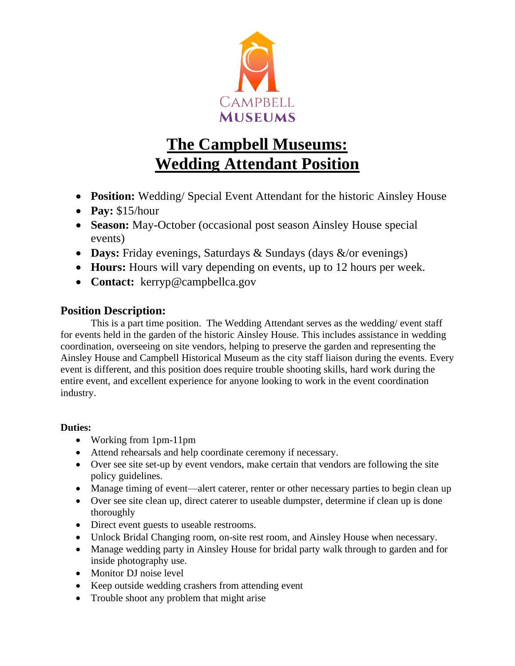

# **The Campbell Museums: Wedding Attendant Position**

- **Position:** Wedding/ Special Event Attendant for the historic Ainsley House
- **Pay:** \$15/hour
- **Season:** May-October (occasional post season Ainsley House special events)
- **Days:** Friday evenings, Saturdays & Sundays (days &/or evenings)
- **Hours:** Hours will vary depending on events, up to 12 hours per week.
- **Contact:** kerryp@campbellca.gov

## **Position Description:**

This is a part time position. The Wedding Attendant serves as the wedding/ event staff for events held in the garden of the historic Ainsley House. This includes assistance in wedding coordination, overseeing on site vendors, helping to preserve the garden and representing the Ainsley House and Campbell Historical Museum as the city staff liaison during the events. Every event is different, and this position does require trouble shooting skills, hard work during the entire event, and excellent experience for anyone looking to work in the event coordination industry.

### **Duties:**

- Working from 1pm-11pm
- Attend rehearsals and help coordinate ceremony if necessary.
- Over see site set-up by event vendors, make certain that vendors are following the site policy guidelines.
- Manage timing of event—alert caterer, renter or other necessary parties to begin clean up
- Over see site clean up, direct caterer to useable dumpster, determine if clean up is done thoroughly
- Direct event guests to useable restrooms.
- Unlock Bridal Changing room, on-site rest room, and Ainsley House when necessary.
- Manage wedding party in Ainsley House for bridal party walk through to garden and for inside photography use.
- Monitor DJ noise level
- Keep outside wedding crashers from attending event
- Trouble shoot any problem that might arise